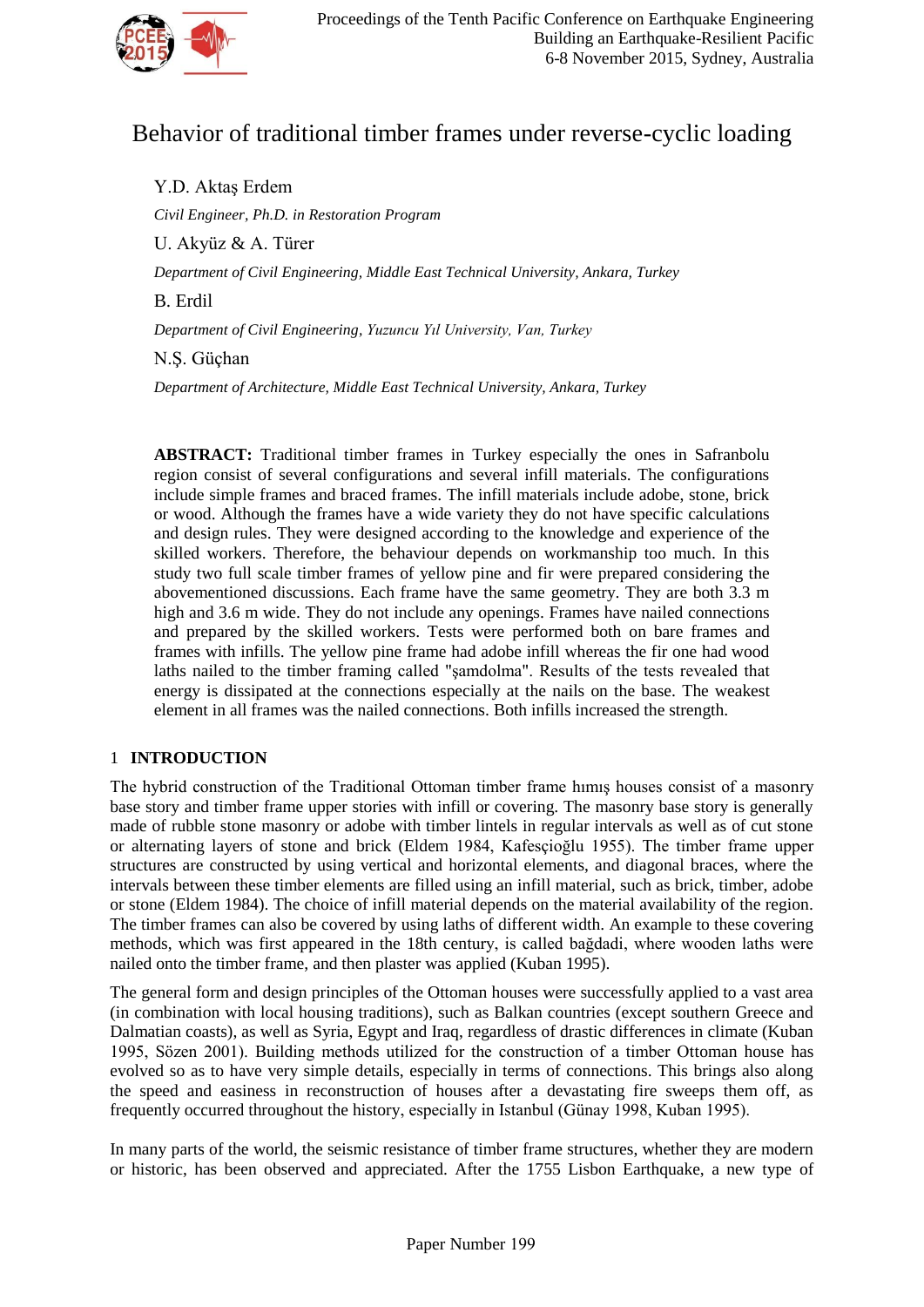

# Behavior of traditional timber frames under reverse-cyclic loading

Y.D. Aktaş Erdem

*Civil Engineer, Ph.D. in Restoration Program*

U. Akyüz & A. Türer

*Department of Civil Engineering, Middle East Technical University, Ankara, Turkey*

B. Erdil

*Department of Civil Engineering, Yuzuncu Yıl University, Van, Turkey*

N.Ş. Güçhan

*Department of Architecture, Middle East Technical University, Ankara, Turkey*

**ABSTRACT:** Traditional timber frames in Turkey especially the ones in Safranbolu region consist of several configurations and several infill materials. The configurations include simple frames and braced frames. The infill materials include adobe, stone, brick or wood. Although the frames have a wide variety they do not have specific calculations and design rules. They were designed according to the knowledge and experience of the skilled workers. Therefore, the behaviour depends on workmanship too much. In this study two full scale timber frames of yellow pine and fir were prepared considering the abovementioned discussions. Each frame have the same geometry. They are both 3.3 m high and 3.6 m wide. They do not include any openings. Frames have nailed connections and prepared by the skilled workers. Tests were performed both on bare frames and frames with infills. The yellow pine frame had adobe infill whereas the fir one had wood laths nailed to the timber framing called "şamdolma". Results of the tests revealed that energy is dissipated at the connections especially at the nails on the base. The weakest element in all frames was the nailed connections. Both infills increased the strength.

### 1 **INTRODUCTION**

The hybrid construction of the Traditional Ottoman timber frame hımış houses consist of a masonry base story and timber frame upper stories with infill or covering. The masonry base story is generally made of rubble stone masonry or adobe with timber lintels in regular intervals as well as of cut stone or alternating layers of stone and brick (Eldem 1984, Kafesçioğlu 1955). The timber frame upper structures are constructed by using vertical and horizontal elements, and diagonal braces, where the intervals between these timber elements are filled using an infill material, such as brick, timber, adobe or stone (Eldem 1984). The choice of infill material depends on the material availability of the region. The timber frames can also be covered by using laths of different width. An example to these covering methods, which was first appeared in the 18th century, is called bağdadi, where wooden laths were nailed onto the timber frame, and then plaster was applied (Kuban 1995).

The general form and design principles of the Ottoman houses were successfully applied to a vast area (in combination with local housing traditions), such as Balkan countries (except southern Greece and Dalmatian coasts), as well as Syria, Egypt and Iraq, regardless of drastic differences in climate (Kuban 1995, Sözen 2001). Building methods utilized for the construction of a timber Ottoman house has evolved so as to have very simple details, especially in terms of connections. This brings also along the speed and easiness in reconstruction of houses after a devastating fire sweeps them off, as frequently occurred throughout the history, especially in Istanbul (Günay 1998, Kuban 1995).

In many parts of the world, the seismic resistance of timber frame structures, whether they are modern or historic, has been observed and appreciated. After the 1755 Lisbon Earthquake, a new type of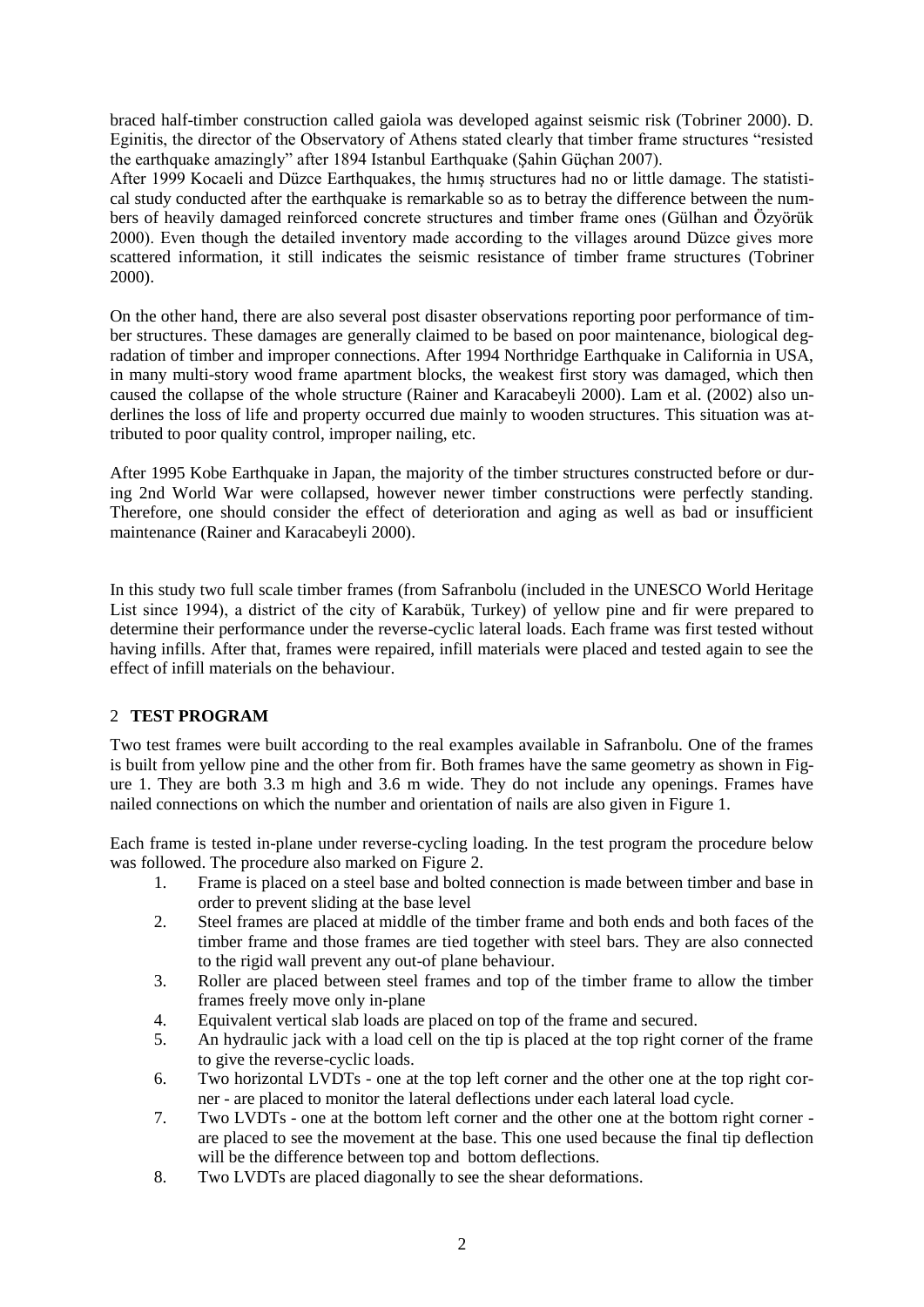braced half-timber construction called gaiola was developed against seismic risk (Tobriner 2000). D. Eginitis, the director of the Observatory of Athens stated clearly that timber frame structures "resisted the earthquake amazingly" after 1894 Istanbul Earthquake (Şahin Güçhan 2007).

After 1999 Kocaeli and Düzce Earthquakes, the hımış structures had no or little damage. The statistical study conducted after the earthquake is remarkable so as to betray the difference between the numbers of heavily damaged reinforced concrete structures and timber frame ones (Gülhan and Özyörük 2000). Even though the detailed inventory made according to the villages around Düzce gives more scattered information, it still indicates the seismic resistance of timber frame structures (Tobriner 2000).

On the other hand, there are also several post disaster observations reporting poor performance of timber structures. These damages are generally claimed to be based on poor maintenance, biological degradation of timber and improper connections. After 1994 Northridge Earthquake in California in USA, in many multi-story wood frame apartment blocks, the weakest first story was damaged, which then caused the collapse of the whole structure (Rainer and Karacabeyli 2000). Lam et al. (2002) also underlines the loss of life and property occurred due mainly to wooden structures. This situation was attributed to poor quality control, improper nailing, etc.

After 1995 Kobe Earthquake in Japan, the majority of the timber structures constructed before or during 2nd World War were collapsed, however newer timber constructions were perfectly standing. Therefore, one should consider the effect of deterioration and aging as well as bad or insufficient maintenance (Rainer and Karacabeyli 2000).

In this study two full scale timber frames (from Safranbolu (included in the UNESCO World Heritage List since 1994), a district of the city of Karabük, Turkey) of yellow pine and fir were prepared to determine their performance under the reverse-cyclic lateral loads. Each frame was first tested without having infills. After that, frames were repaired, infill materials were placed and tested again to see the effect of infill materials on the behaviour.

## 2 **TEST PROGRAM**

Two test frames were built according to the real examples available in Safranbolu. One of the frames is built from yellow pine and the other from fir. Both frames have the same geometry as shown in Figure 1. They are both 3.3 m high and 3.6 m wide. They do not include any openings. Frames have nailed connections on which the number and orientation of nails are also given in Figure 1.

Each frame is tested in-plane under reverse-cycling loading. In the test program the procedure below was followed. The procedure also marked on Figure 2.

- 1. Frame is placed on a steel base and bolted connection is made between timber and base in order to prevent sliding at the base level
- 2. Steel frames are placed at middle of the timber frame and both ends and both faces of the timber frame and those frames are tied together with steel bars. They are also connected to the rigid wall prevent any out-of plane behaviour.
- 3. Roller are placed between steel frames and top of the timber frame to allow the timber frames freely move only in-plane
- 4. Equivalent vertical slab loads are placed on top of the frame and secured.
- 5. An hydraulic jack with a load cell on the tip is placed at the top right corner of the frame to give the reverse-cyclic loads.
- 6. Two horizontal LVDTs one at the top left corner and the other one at the top right corner - are placed to monitor the lateral deflections under each lateral load cycle.
- 7. Two LVDTs one at the bottom left corner and the other one at the bottom right corner are placed to see the movement at the base. This one used because the final tip deflection will be the difference between top and bottom deflections.
- 8. Two LVDTs are placed diagonally to see the shear deformations.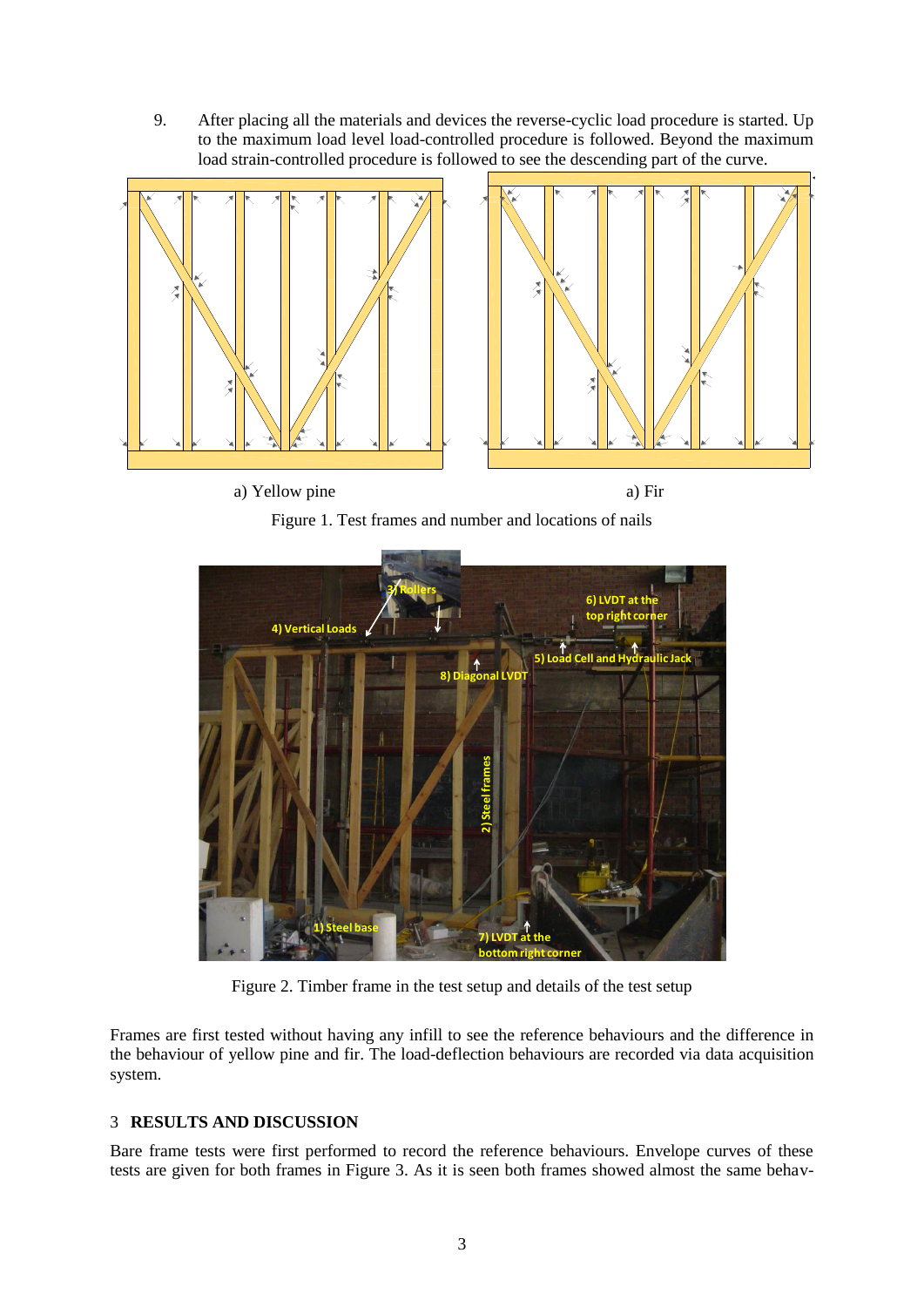9. After placing all the materials and devices the reverse-cyclic load procedure is started. Up to the maximum load level load-controlled procedure is followed. Beyond the maximum load strain-controlled procedure is followed to see the descending part of the curve.





a) Yellow pine a) Fir





Figure 2. Timber frame in the test setup and details of the test setup

Frames are first tested without having any infill to see the reference behaviours and the difference in the behaviour of yellow pine and fir. The load-deflection behaviours are recorded via data acquisition system.

## 3 **RESULTS AND DISCUSSION**

Bare frame tests were first performed to record the reference behaviours. Envelope curves of these tests are given for both frames in Figure 3. As it is seen both frames showed almost the same behav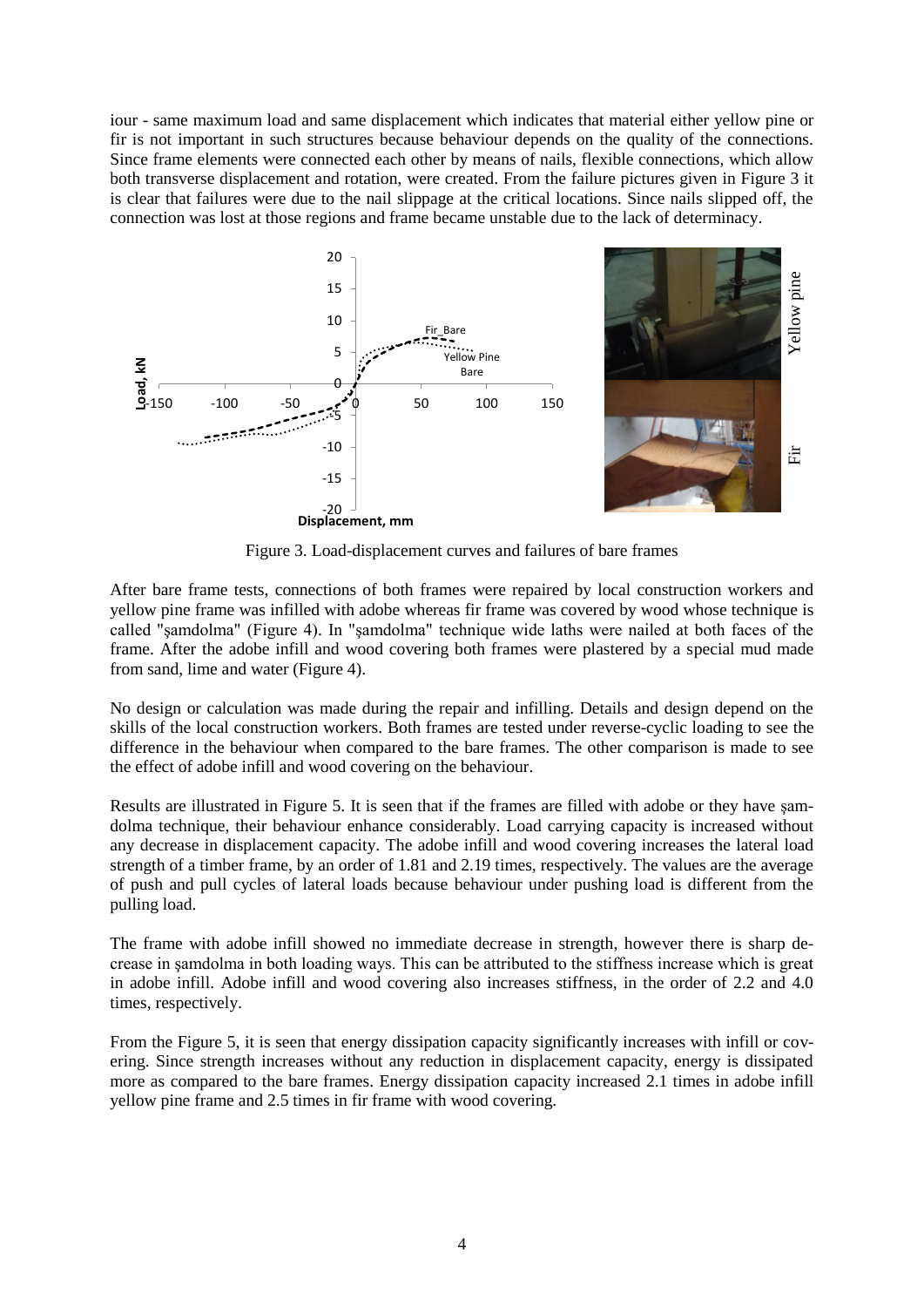iour - same maximum load and same displacement which indicates that material either yellow pine or fir is not important in such structures because behaviour depends on the quality of the connections. Since frame elements were connected each other by means of nails, flexible connections, which allow both transverse displacement and rotation, were created. From the failure pictures given in Figure 3 it is clear that failures were due to the nail slippage at the critical locations. Since nails slipped off, the connection was lost at those regions and frame became unstable due to the lack of determinacy.



Figure 3. Load-displacement curves and failures of bare frames

After bare frame tests, connections of both frames were repaired by local construction workers and yellow pine frame was infilled with adobe whereas fir frame was covered by wood whose technique is called "şamdolma" (Figure 4). In "şamdolma" technique wide laths were nailed at both faces of the frame. After the adobe infill and wood covering both frames were plastered by a special mud made from sand, lime and water (Figure 4).

No design or calculation was made during the repair and infilling. Details and design depend on the skills of the local construction workers. Both frames are tested under reverse-cyclic loading to see the difference in the behaviour when compared to the bare frames. The other comparison is made to see the effect of adobe infill and wood covering on the behaviour.

Results are illustrated in Figure 5. It is seen that if the frames are filled with adobe or they have şamdolma technique, their behaviour enhance considerably. Load carrying capacity is increased without any decrease in displacement capacity. The adobe infill and wood covering increases the lateral load strength of a timber frame, by an order of 1.81 and 2.19 times, respectively. The values are the average of push and pull cycles of lateral loads because behaviour under pushing load is different from the pulling load.

The frame with adobe infill showed no immediate decrease in strength, however there is sharp decrease in şamdolma in both loading ways. This can be attributed to the stiffness increase which is great in adobe infill. Adobe infill and wood covering also increases stiffness, in the order of 2.2 and 4.0 times, respectively.

From the Figure 5, it is seen that energy dissipation capacity significantly increases with infill or covering. Since strength increases without any reduction in displacement capacity, energy is dissipated more as compared to the bare frames. Energy dissipation capacity increased 2.1 times in adobe infill yellow pine frame and 2.5 times in fir frame with wood covering.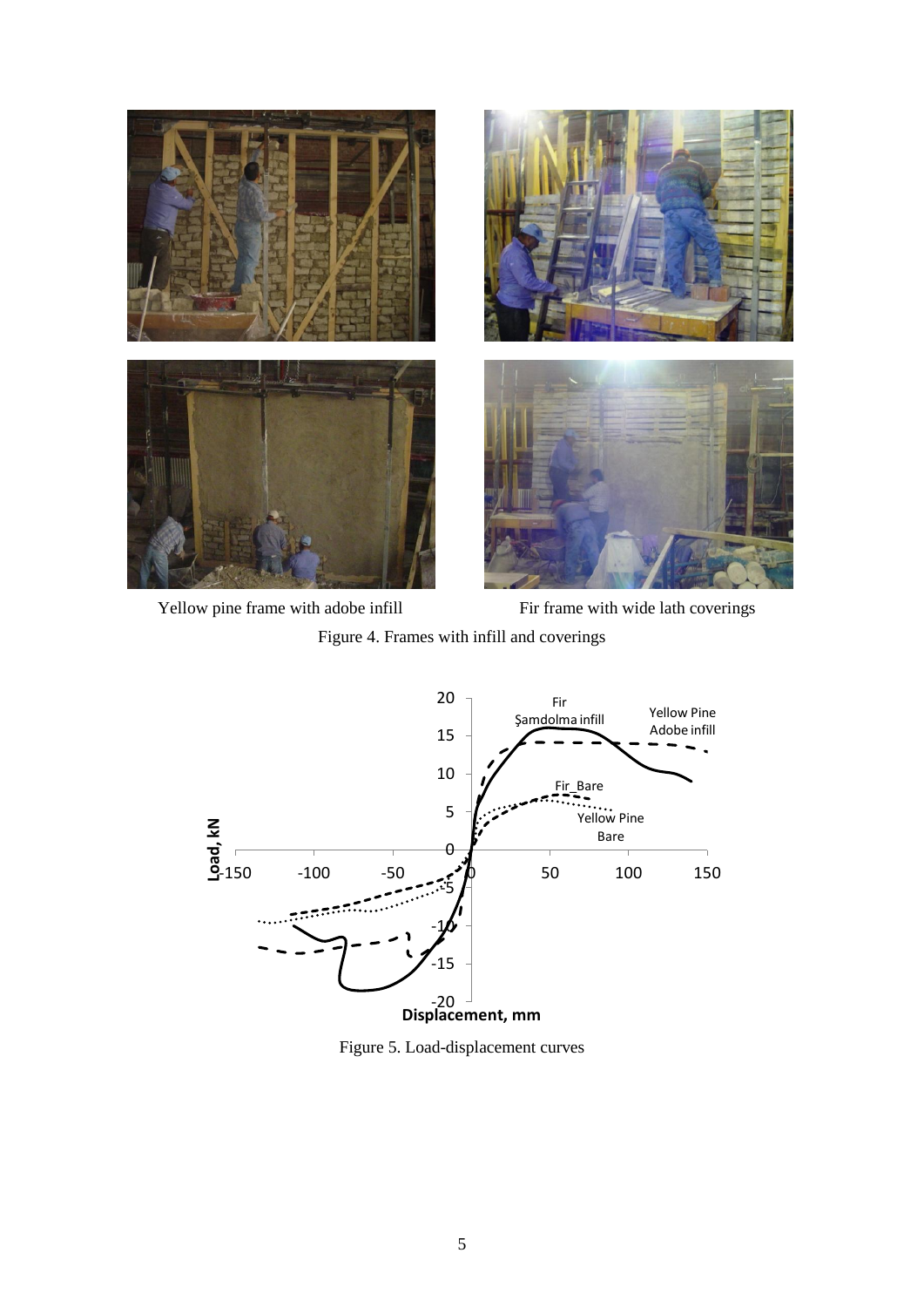



Yellow pine frame with adobe infill Fir frame with wide lath coverings

Figure 4. Frames with infill and coverings



Figure 5. Load-displacement curves